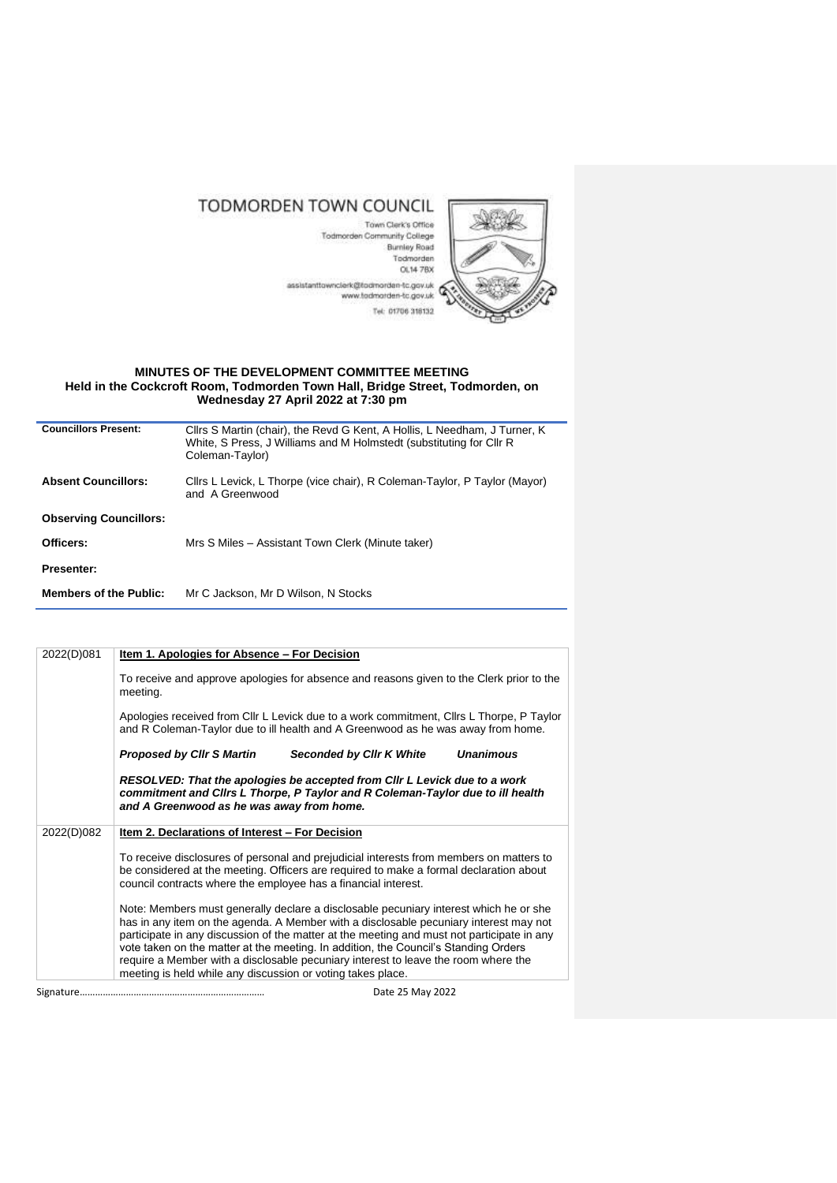## TODMORDEN TOWN COUNCIL

Town Clerk's Office Todmorden Community College Burnley Road Todmorden OL14 7BX assistanttowncierk@todmorden-tc.gov.uk<br>www.tedmorden-tc.gov.uk Tel: 01706 318132



## **MINUTES OF THE DEVELOPMENT COMMITTEE MEETING Held in the Cockcroft Room, Todmorden Town Hall, Bridge Street, Todmorden, on Wednesday 27 April 2022 at 7:30 pm**

| Cllrs S Martin (chair), the Revd G Kent, A Hollis, L Needham, J Turner, K<br>White, S Press, J Williams and M Holmstedt (substituting for Cllr R |
|--------------------------------------------------------------------------------------------------------------------------------------------------|
|                                                                                                                                                  |
| Cllrs L Levick, L Thorpe (vice chair), R Coleman-Taylor, P Taylor (Mayor)                                                                        |
|                                                                                                                                                  |
|                                                                                                                                                  |
|                                                                                                                                                  |
|                                                                                                                                                  |
|                                                                                                                                                  |

| 2022(D)081 | Item 1. Apologies for Absence - For Decision                                                                                                                                                                                                                                                                                                                                                                                                                                                                             |  |  |  |  |
|------------|--------------------------------------------------------------------------------------------------------------------------------------------------------------------------------------------------------------------------------------------------------------------------------------------------------------------------------------------------------------------------------------------------------------------------------------------------------------------------------------------------------------------------|--|--|--|--|
|            | To receive and approve apologies for absence and reasons given to the Clerk prior to the<br>meeting.                                                                                                                                                                                                                                                                                                                                                                                                                     |  |  |  |  |
|            | Apologies received from Cllr L Levick due to a work commitment, Cllrs L Thorpe, P Taylor<br>and R Coleman-Taylor due to ill health and A Greenwood as he was away from home.                                                                                                                                                                                                                                                                                                                                             |  |  |  |  |
|            | <b>Unanimous</b><br><b>Proposed by Cllr S Martin</b><br>Seconded by Cllr K White                                                                                                                                                                                                                                                                                                                                                                                                                                         |  |  |  |  |
|            | RESOLVED: That the apologies be accepted from CIIr L Levick due to a work<br>commitment and Clirs L Thorpe, P Taylor and R Coleman-Taylor due to ill health<br>and A Greenwood as he was away from home.                                                                                                                                                                                                                                                                                                                 |  |  |  |  |
| 2022(D)082 | <u>Item 2. Declarations of Interest - For Decision</u>                                                                                                                                                                                                                                                                                                                                                                                                                                                                   |  |  |  |  |
|            | To receive disclosures of personal and prejudicial interests from members on matters to<br>be considered at the meeting. Officers are required to make a formal declaration about<br>council contracts where the employee has a financial interest.                                                                                                                                                                                                                                                                      |  |  |  |  |
|            | Note: Members must generally declare a disclosable pecuniary interest which he or she<br>has in any item on the agenda. A Member with a disclosable pecuniary interest may not<br>participate in any discussion of the matter at the meeting and must not participate in any<br>vote taken on the matter at the meeting. In addition, the Council's Standing Orders<br>require a Member with a disclosable pecuniary interest to leave the room where the<br>meeting is held while any discussion or voting takes place. |  |  |  |  |
|            | Date 25 May 2022                                                                                                                                                                                                                                                                                                                                                                                                                                                                                                         |  |  |  |  |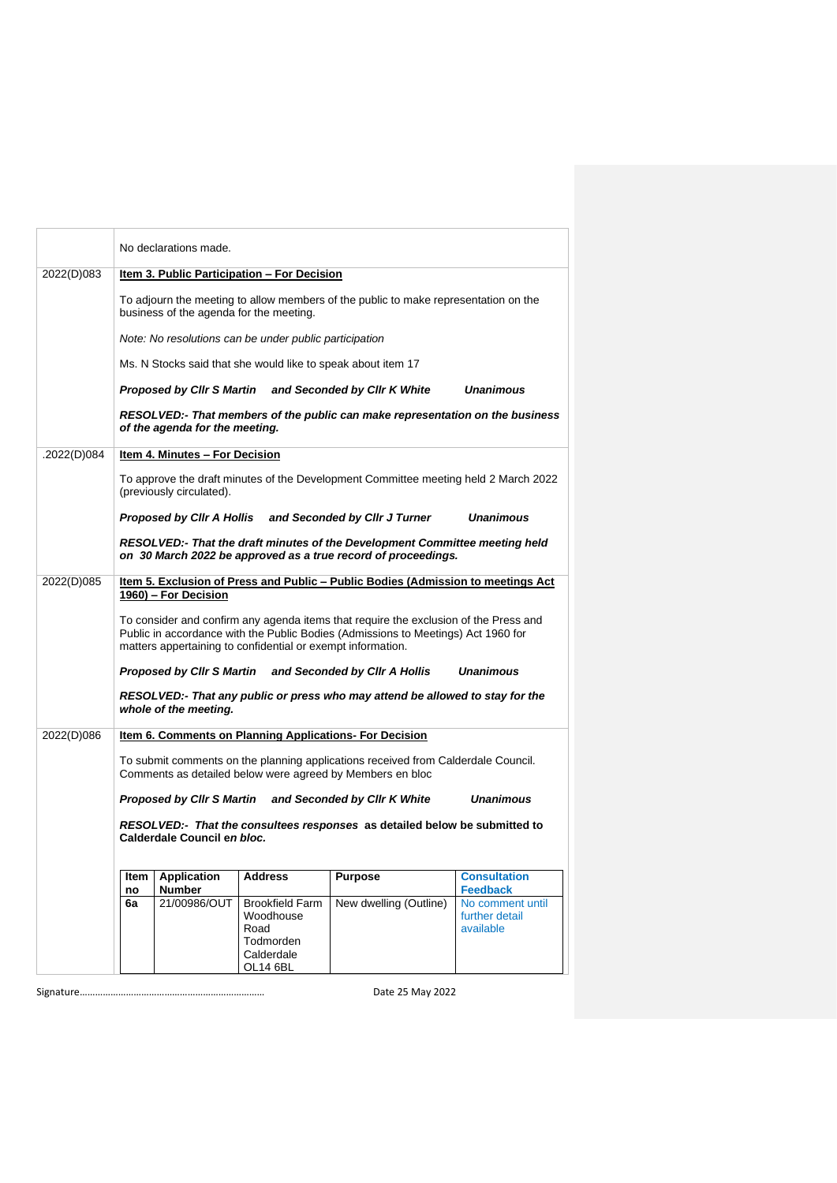|             |                                                                                                                                                                                                                                                                  | No declarations made.          |                                                                                    |                                                                                                                                              |                                                                    |
|-------------|------------------------------------------------------------------------------------------------------------------------------------------------------------------------------------------------------------------------------------------------------------------|--------------------------------|------------------------------------------------------------------------------------|----------------------------------------------------------------------------------------------------------------------------------------------|--------------------------------------------------------------------|
| 2022(D)083  | Item 3. Public Participation - For Decision                                                                                                                                                                                                                      |                                |                                                                                    |                                                                                                                                              |                                                                    |
|             | To adjourn the meeting to allow members of the public to make representation on the<br>business of the agenda for the meeting.                                                                                                                                   |                                |                                                                                    |                                                                                                                                              |                                                                    |
|             |                                                                                                                                                                                                                                                                  |                                | Note: No resolutions can be under public participation                             |                                                                                                                                              |                                                                    |
|             |                                                                                                                                                                                                                                                                  |                                |                                                                                    | Ms. N Stocks said that she would like to speak about item 17                                                                                 |                                                                    |
|             |                                                                                                                                                                                                                                                                  |                                |                                                                                    | Proposed by Clir S Martin and Seconded by Clir K White                                                                                       | <b>Unanimous</b>                                                   |
|             |                                                                                                                                                                                                                                                                  | of the agenda for the meeting. |                                                                                    | RESOLVED:- That members of the public can make representation on the business                                                                |                                                                    |
| .2022(D)084 |                                                                                                                                                                                                                                                                  | Item 4. Minutes - For Decision |                                                                                    |                                                                                                                                              |                                                                    |
|             |                                                                                                                                                                                                                                                                  | (previously circulated).       |                                                                                    | To approve the draft minutes of the Development Committee meeting held 2 March 2022                                                          |                                                                    |
|             |                                                                                                                                                                                                                                                                  |                                |                                                                                    | Proposed by Clir A Hollis and Seconded by Clir J Turner                                                                                      | <b>Unanimous</b>                                                   |
|             |                                                                                                                                                                                                                                                                  |                                |                                                                                    | RESOLVED:- That the draft minutes of the Development Committee meeting held<br>on 30 March 2022 be approved as a true record of proceedings. |                                                                    |
| 2022(D)085  | Item 5. Exclusion of Press and Public - Public Bodies (Admission to meetings Act                                                                                                                                                                                 |                                |                                                                                    |                                                                                                                                              |                                                                    |
|             | 1960) - For Decision<br>To consider and confirm any agenda items that require the exclusion of the Press and<br>Public in accordance with the Public Bodies (Admissions to Meetings) Act 1960 for<br>matters appertaining to confidential or exempt information. |                                |                                                                                    |                                                                                                                                              |                                                                    |
|             | Proposed by Clir S Martin and Seconded by Clir A Hollis<br><b>Unanimous</b>                                                                                                                                                                                      |                                |                                                                                    |                                                                                                                                              |                                                                    |
|             |                                                                                                                                                                                                                                                                  | whole of the meeting.          |                                                                                    | RESOLVED:- That any public or press who may attend be allowed to stay for the                                                                |                                                                    |
| 2022(D)086  |                                                                                                                                                                                                                                                                  |                                |                                                                                    | Item 6. Comments on Planning Applications- For Decision                                                                                      |                                                                    |
|             | To submit comments on the planning applications received from Calderdale Council.<br>Comments as detailed below were agreed by Members en bloc                                                                                                                   |                                |                                                                                    |                                                                                                                                              |                                                                    |
|             | <b>Unanimous</b><br>Proposed by Cllr S Martin and Seconded by Cllr K White<br>RESOLVED:- That the consultees responses as detailed below be submitted to<br>Calderdale Council en bloc.                                                                          |                                |                                                                                    |                                                                                                                                              |                                                                    |
|             |                                                                                                                                                                                                                                                                  |                                |                                                                                    |                                                                                                                                              |                                                                    |
|             | ltem                                                                                                                                                                                                                                                             | <b>Application</b>             | <b>Address</b>                                                                     | <b>Purpose</b>                                                                                                                               | <b>Consultation</b>                                                |
|             | no<br>6a                                                                                                                                                                                                                                                         | <b>Number</b><br>21/00986/OUT  | <b>Brookfield Farm</b><br>Woodhouse<br>Road<br>Todmorden<br>Calderdale<br>OL14 6BL | New dwelling (Outline)                                                                                                                       | <b>Feedback</b><br>No comment until<br>further detail<br>available |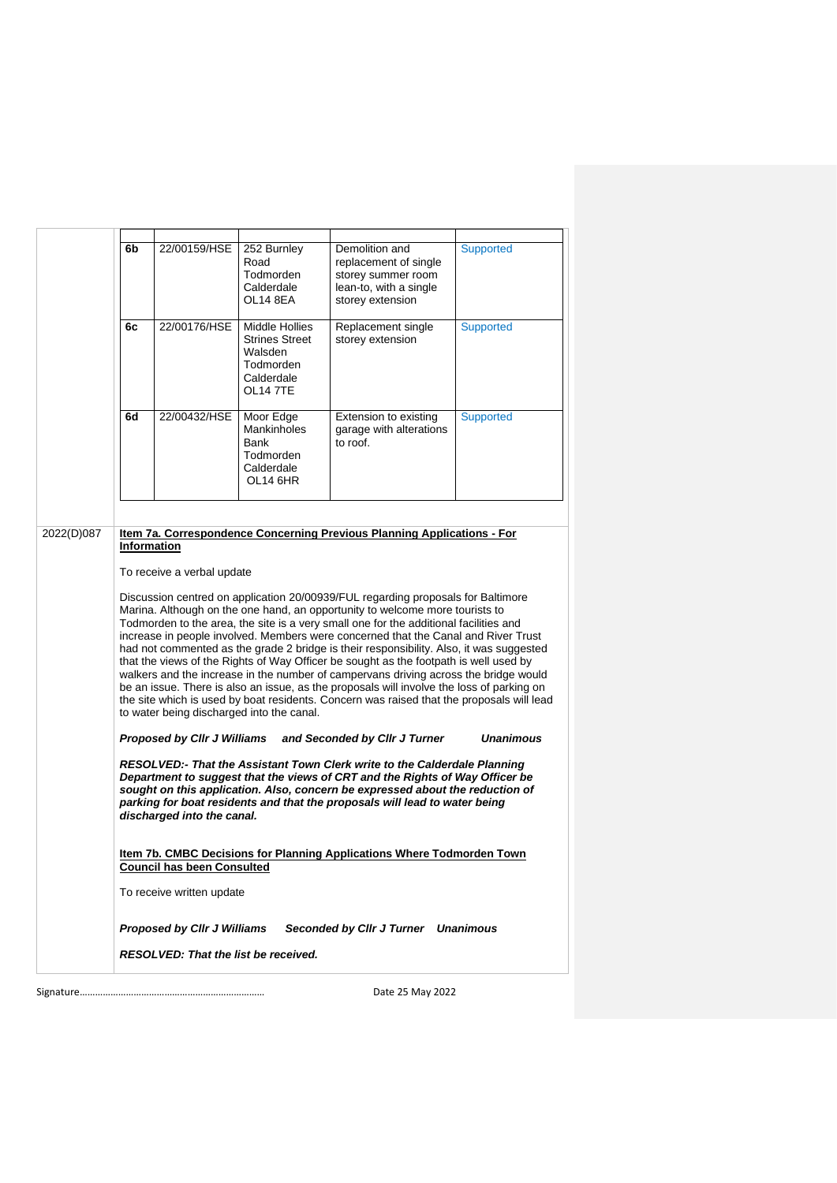|                                             | 6b                                                                                                                                                                                                                                                                                                                                                                                                                                                                                                                                                                                                                                                                                                                                                                                                                                                                                                                                                                                                                                                                                                                                                                                                                                                                                                                                                                                                                                                                                                                                                                                                                                                                    | 22/00159/HSE | 252 Burnley<br>Road<br>Todmorden<br>Calderdale<br>OL14 8EA                                              | Demolition and<br>replacement of single<br>storey summer room<br>lean-to, with a single<br>storey extension | Supported |
|---------------------------------------------|-----------------------------------------------------------------------------------------------------------------------------------------------------------------------------------------------------------------------------------------------------------------------------------------------------------------------------------------------------------------------------------------------------------------------------------------------------------------------------------------------------------------------------------------------------------------------------------------------------------------------------------------------------------------------------------------------------------------------------------------------------------------------------------------------------------------------------------------------------------------------------------------------------------------------------------------------------------------------------------------------------------------------------------------------------------------------------------------------------------------------------------------------------------------------------------------------------------------------------------------------------------------------------------------------------------------------------------------------------------------------------------------------------------------------------------------------------------------------------------------------------------------------------------------------------------------------------------------------------------------------------------------------------------------------|--------------|---------------------------------------------------------------------------------------------------------|-------------------------------------------------------------------------------------------------------------|-----------|
|                                             | 6с                                                                                                                                                                                                                                                                                                                                                                                                                                                                                                                                                                                                                                                                                                                                                                                                                                                                                                                                                                                                                                                                                                                                                                                                                                                                                                                                                                                                                                                                                                                                                                                                                                                                    | 22/00176/HSE | <b>Middle Hollies</b><br><b>Strines Street</b><br>Walsden<br>Todmorden<br>Calderdale<br><b>OL14 7TE</b> | Replacement single<br>storey extension                                                                      | Supported |
|                                             | 6d                                                                                                                                                                                                                                                                                                                                                                                                                                                                                                                                                                                                                                                                                                                                                                                                                                                                                                                                                                                                                                                                                                                                                                                                                                                                                                                                                                                                                                                                                                                                                                                                                                                                    | 22/00432/HSE | Moor Edge<br><b>Mankinholes</b><br>Bank<br>Todmorden<br>Calderdale<br>OL14 6HR                          | Extension to existing<br>garage with alterations<br>to roof.                                                | Supported |
|                                             |                                                                                                                                                                                                                                                                                                                                                                                                                                                                                                                                                                                                                                                                                                                                                                                                                                                                                                                                                                                                                                                                                                                                                                                                                                                                                                                                                                                                                                                                                                                                                                                                                                                                       |              |                                                                                                         |                                                                                                             |           |
| 2022(D)087                                  | Item 7a. Correspondence Concerning Previous Planning Applications - For<br><b>Information</b><br>To receive a verbal update<br>Discussion centred on application 20/00939/FUL regarding proposals for Baltimore<br>Marina. Although on the one hand, an opportunity to welcome more tourists to<br>Todmorden to the area, the site is a very small one for the additional facilities and<br>increase in people involved. Members were concerned that the Canal and River Trust<br>had not commented as the grade 2 bridge is their responsibility. Also, it was suggested<br>that the views of the Rights of Way Officer be sought as the footpath is well used by<br>walkers and the increase in the number of campervans driving across the bridge would<br>be an issue. There is also an issue, as the proposals will involve the loss of parking on<br>the site which is used by boat residents. Concern was raised that the proposals will lead<br>to water being discharged into the canal.<br><b>Unanimous</b><br>Proposed by Cllr J Williams<br>and Seconded by Cllr J Turner<br>RESOLVED:- That the Assistant Town Clerk write to the Calderdale Planning<br>Department to suggest that the views of CRT and the Rights of Way Officer be<br>sought on this application. Also, concern be expressed about the reduction of<br>parking for boat residents and that the proposals will lead to water being<br>discharged into the canal.<br><u>Item 7b. CMBC Decisions for Planning Applications Where Todmorden Town</u><br><b>Council has been Consulted</b><br>To receive written update<br>Proposed by Cllr J Williams Seconded by Cllr J Turner Unanimous |              |                                                                                                         |                                                                                                             |           |
| <b>RESOLVED: That the list be received.</b> |                                                                                                                                                                                                                                                                                                                                                                                                                                                                                                                                                                                                                                                                                                                                                                                                                                                                                                                                                                                                                                                                                                                                                                                                                                                                                                                                                                                                                                                                                                                                                                                                                                                                       |              |                                                                                                         |                                                                                                             |           |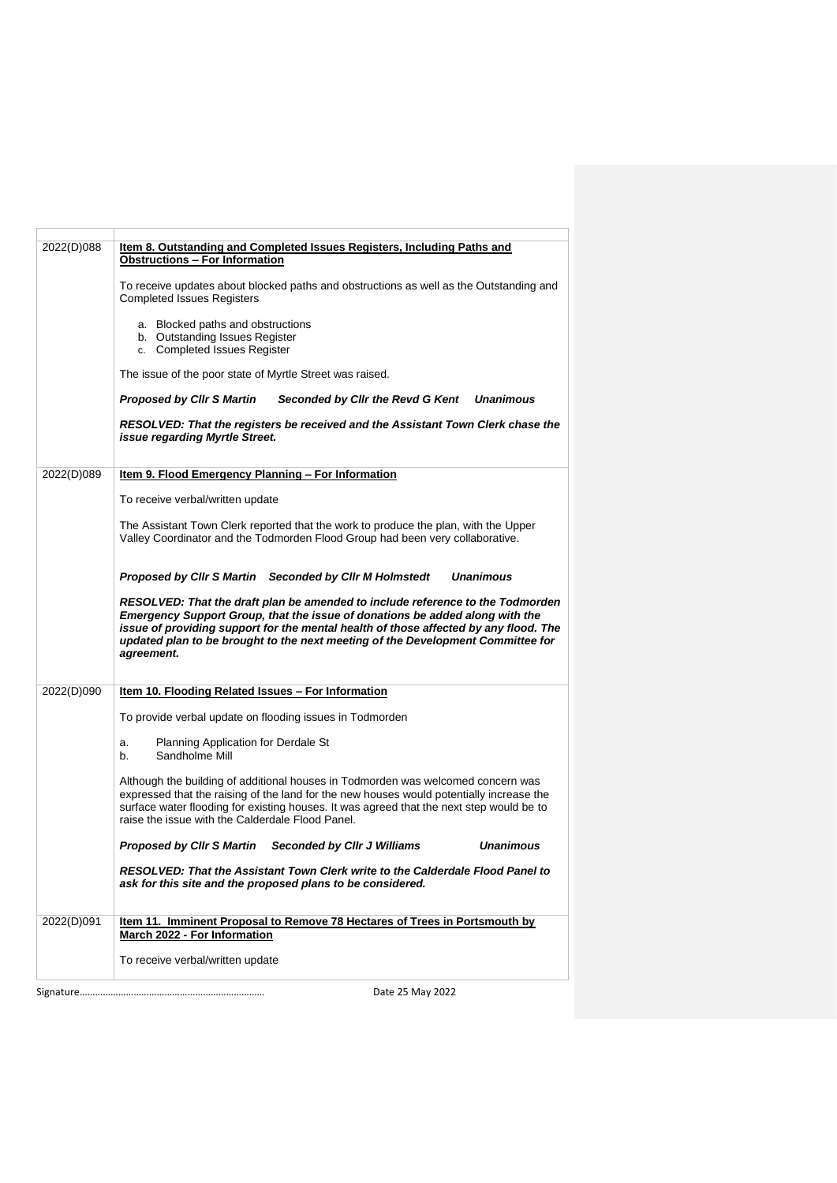| 2022(D)088 | Item 8. Outstanding and Completed Issues Registers, Including Paths and<br><b>Obstructions - For Information</b>                                                                                                                                                                                                                                               |
|------------|----------------------------------------------------------------------------------------------------------------------------------------------------------------------------------------------------------------------------------------------------------------------------------------------------------------------------------------------------------------|
|            | To receive updates about blocked paths and obstructions as well as the Outstanding and<br><b>Completed Issues Registers</b>                                                                                                                                                                                                                                    |
|            | a. Blocked paths and obstructions<br>b. Outstanding Issues Register<br>c. Completed Issues Register                                                                                                                                                                                                                                                            |
|            | The issue of the poor state of Myrtle Street was raised.                                                                                                                                                                                                                                                                                                       |
|            | <b>Proposed by CIIr S Martin</b><br>Seconded by Cllr the Revd G Kent<br><b>Unanimous</b>                                                                                                                                                                                                                                                                       |
|            | RESOLVED: That the registers be received and the Assistant Town Clerk chase the<br>issue regarding Myrtle Street.                                                                                                                                                                                                                                              |
| 2022(D)089 | Item 9. Flood Emergency Planning - For Information                                                                                                                                                                                                                                                                                                             |
|            | To receive verbal/written update                                                                                                                                                                                                                                                                                                                               |
|            | The Assistant Town Clerk reported that the work to produce the plan, with the Upper<br>Valley Coordinator and the Todmorden Flood Group had been very collaborative.                                                                                                                                                                                           |
|            | Proposed by Clir S Martin Seconded by Clir M Holmstedt<br><b>Unanimous</b>                                                                                                                                                                                                                                                                                     |
|            | RESOLVED: That the draft plan be amended to include reference to the Todmorden<br><b>Emergency Support Group, that the issue of donations be added along with the</b><br>issue of providing support for the mental health of those affected by any flood. The<br>updated plan to be brought to the next meeting of the Development Committee for<br>agreement. |
| 2022(D)090 | Item 10. Flooding Related Issues - For Information                                                                                                                                                                                                                                                                                                             |
|            | To provide verbal update on flooding issues in Todmorden                                                                                                                                                                                                                                                                                                       |
|            | Planning Application for Derdale St<br>a.<br>Sandholme Mill<br>b.                                                                                                                                                                                                                                                                                              |
|            | Although the building of additional houses in Todmorden was welcomed concern was<br>expressed that the raising of the land for the new houses would potentially increase the<br>surface water flooding for existing houses. It was agreed that the next step would be to<br>raise the issue with the Calderdale Flood Panel.                                   |
|            | <b>Unanimous</b><br>Proposed by Cllr S Martin<br>Seconded by Cllr J Williams                                                                                                                                                                                                                                                                                   |
|            | RESOLVED: That the Assistant Town Clerk write to the Calderdale Flood Panel to<br>ask for this site and the proposed plans to be considered.                                                                                                                                                                                                                   |
| 2022(D)091 | <b>Item 11. Imminent Proposal to Remove 78 Hectares of Trees in Portsmouth by</b><br>March 2022 - For Information                                                                                                                                                                                                                                              |
|            | To receive verbal/written update                                                                                                                                                                                                                                                                                                                               |
|            |                                                                                                                                                                                                                                                                                                                                                                |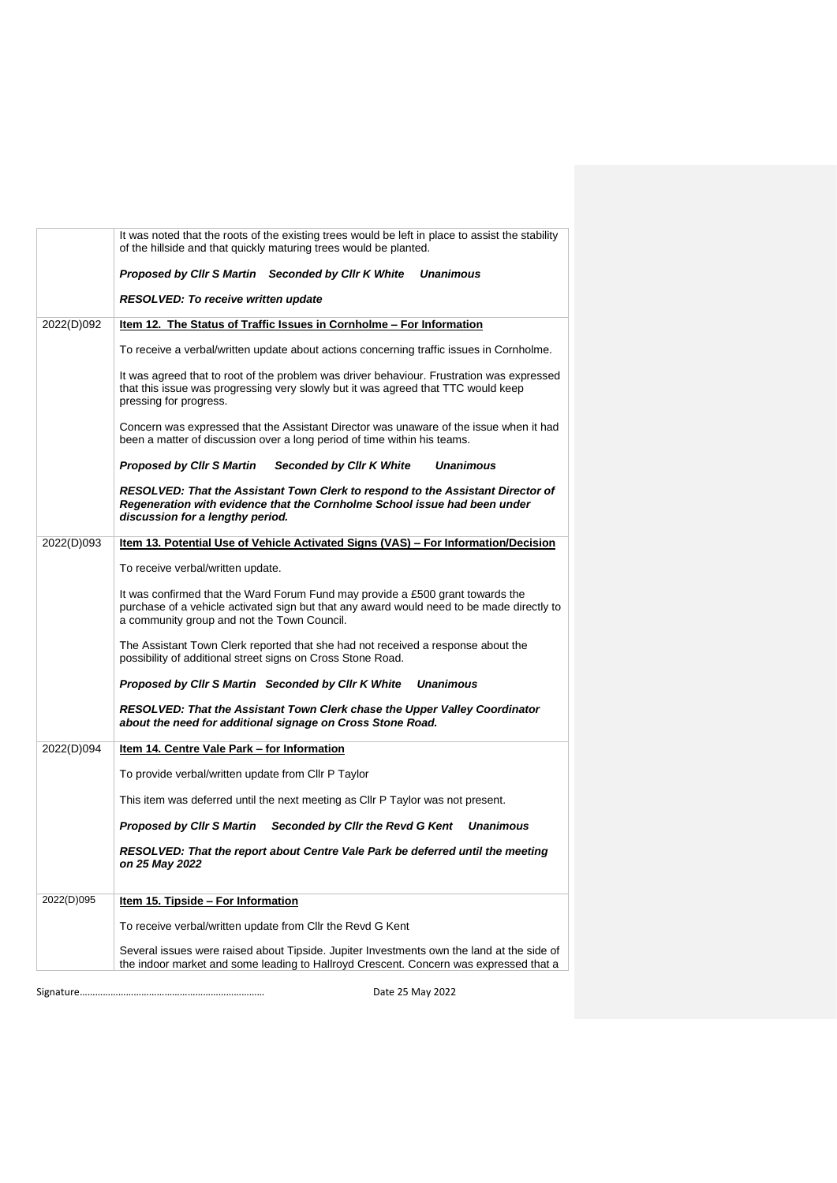|            | It was noted that the roots of the existing trees would be left in place to assist the stability<br>of the hillside and that quickly maturing trees would be planted.                                                      |
|------------|----------------------------------------------------------------------------------------------------------------------------------------------------------------------------------------------------------------------------|
|            | Proposed by Cllr S Martin Seconded by Cllr K White<br><b>Unanimous</b>                                                                                                                                                     |
|            | RESOLVED: To receive written update                                                                                                                                                                                        |
| 2022(D)092 | Item 12. The Status of Traffic Issues in Cornholme - For Information                                                                                                                                                       |
|            | To receive a verbal/written update about actions concerning traffic issues in Cornholme.                                                                                                                                   |
|            | It was agreed that to root of the problem was driver behaviour. Frustration was expressed<br>that this issue was progressing very slowly but it was agreed that TTC would keep<br>pressing for progress.                   |
|            | Concern was expressed that the Assistant Director was unaware of the issue when it had<br>been a matter of discussion over a long period of time within his teams.                                                         |
|            | Proposed by Cllr S Martin<br>Seconded by Cllr K White<br><b>Unanimous</b>                                                                                                                                                  |
|            | RESOLVED: That the Assistant Town Clerk to respond to the Assistant Director of<br>Regeneration with evidence that the Cornholme School issue had been under<br>discussion for a lengthy period.                           |
| 2022(D)093 | Item 13. Potential Use of Vehicle Activated Signs (VAS) - For Information/Decision                                                                                                                                         |
|            | To receive verbal/written update.                                                                                                                                                                                          |
|            | It was confirmed that the Ward Forum Fund may provide a £500 grant towards the<br>purchase of a vehicle activated sign but that any award would need to be made directly to<br>a community group and not the Town Council. |
|            | The Assistant Town Clerk reported that she had not received a response about the<br>possibility of additional street signs on Cross Stone Road.                                                                            |
|            | Proposed by Cllr S Martin Seconded by Cllr K White<br><b>Unanimous</b>                                                                                                                                                     |
|            | RESOLVED: That the Assistant Town Clerk chase the Upper Valley Coordinator<br>about the need for additional signage on Cross Stone Road.                                                                                   |
| 2022(D)094 | Item 14. Centre Vale Park - for Information                                                                                                                                                                                |
|            | To provide verbal/written update from Cllr P Taylor                                                                                                                                                                        |
|            | This item was deferred until the next meeting as CIIr P Taylor was not present.                                                                                                                                            |
|            | Proposed by Cllr S Martin<br>Seconded by Cllr the Revd G Kent<br><b>Unanimous</b>                                                                                                                                          |
|            | RESOLVED: That the report about Centre Vale Park be deferred until the meeting<br>on 25 May 2022                                                                                                                           |
| 2022(D)095 | Item 15. Tipside - For Information                                                                                                                                                                                         |
|            | To receive verbal/written update from Cllr the Revd G Kent                                                                                                                                                                 |
|            | Several issues were raised about Tipside. Jupiter Investments own the land at the side of<br>the indoor market and some leading to Hallroyd Crescent. Concern was expressed that a                                         |
|            | Date 25 May 2022                                                                                                                                                                                                           |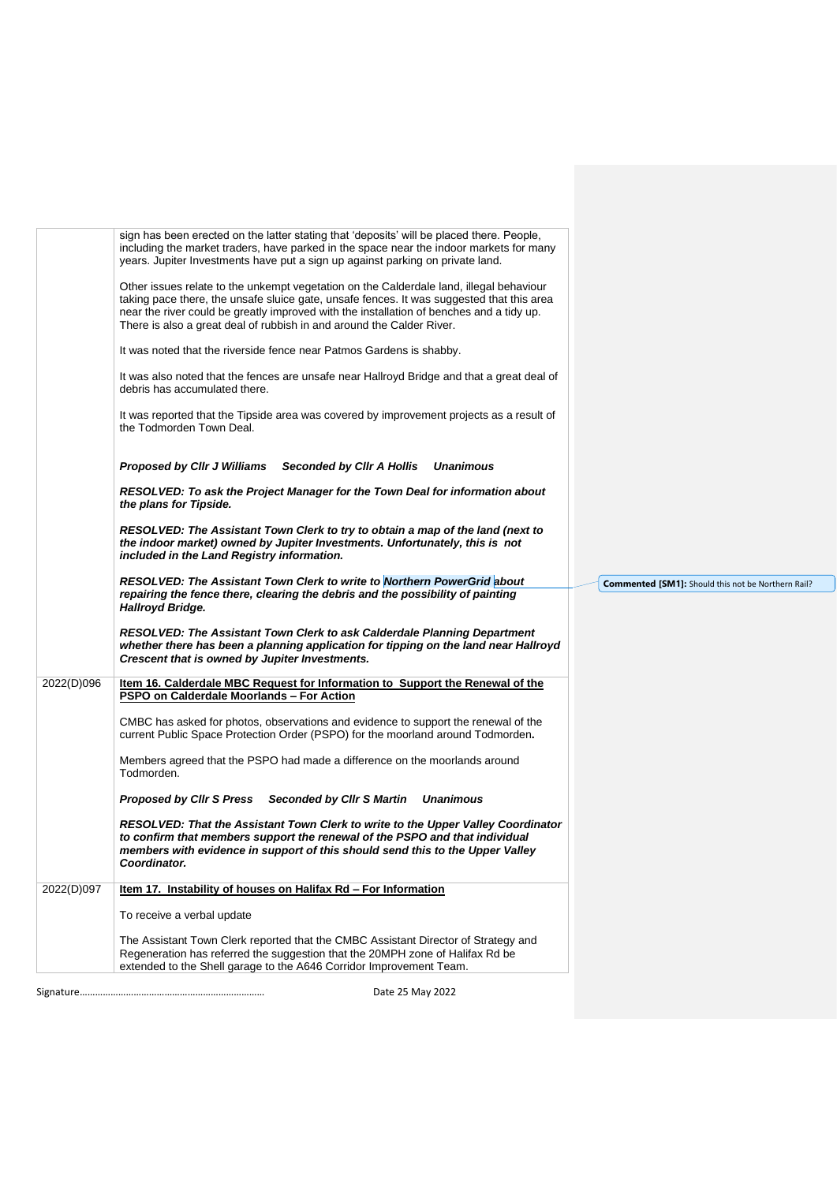|            | sign has been erected on the latter stating that 'deposits' will be placed there. People,<br>including the market traders, have parked in the space near the indoor markets for many<br>years. Jupiter Investments have put a sign up against parking on private land.                                                                                    |                                                    |
|------------|-----------------------------------------------------------------------------------------------------------------------------------------------------------------------------------------------------------------------------------------------------------------------------------------------------------------------------------------------------------|----------------------------------------------------|
|            | Other issues relate to the unkempt vegetation on the Calderdale land, illegal behaviour<br>taking pace there, the unsafe sluice gate, unsafe fences. It was suggested that this area<br>near the river could be greatly improved with the installation of benches and a tidy up.<br>There is also a great deal of rubbish in and around the Calder River. |                                                    |
|            | It was noted that the riverside fence near Patmos Gardens is shabby.                                                                                                                                                                                                                                                                                      |                                                    |
|            | It was also noted that the fences are unsafe near Hallroyd Bridge and that a great deal of<br>debris has accumulated there.                                                                                                                                                                                                                               |                                                    |
|            | It was reported that the Tipside area was covered by improvement projects as a result of<br>the Todmorden Town Deal.                                                                                                                                                                                                                                      |                                                    |
|            | Proposed by Cllr J Williams Seconded by Cllr A Hollis Unanimous                                                                                                                                                                                                                                                                                           |                                                    |
|            | RESOLVED: To ask the Project Manager for the Town Deal for information about<br>the plans for Tipside.                                                                                                                                                                                                                                                    |                                                    |
|            | RESOLVED: The Assistant Town Clerk to try to obtain a map of the land (next to<br>the indoor market) owned by Jupiter Investments. Unfortunately, this is not<br>included in the Land Registry information.                                                                                                                                               |                                                    |
|            | <b>RESOLVED: The Assistant Town Clerk to write to Northern PowerGrid about</b><br>repairing the fence there, clearing the debris and the possibility of painting<br>Hallroyd Bridge.                                                                                                                                                                      | Commented [SM1]: Should this not be Northern Rail? |
|            | RESOLVED: The Assistant Town Clerk to ask Calderdale Planning Department<br>whether there has been a planning application for tipping on the land near Hallroyd<br>Crescent that is owned by Jupiter Investments.                                                                                                                                         |                                                    |
| 2022(D)096 | Item 16. Calderdale MBC Request for Information to Support the Renewal of the<br>PSPO on Calderdale Moorlands - For Action                                                                                                                                                                                                                                |                                                    |
|            | CMBC has asked for photos, observations and evidence to support the renewal of the<br>current Public Space Protection Order (PSPO) for the moorland around Todmorden.                                                                                                                                                                                     |                                                    |
|            | Members agreed that the PSPO had made a difference on the moorlands around<br>Todmorden.                                                                                                                                                                                                                                                                  |                                                    |
|            | Proposed by Clir S Press Seconded by Clir S Martin<br><b>Unanimous</b>                                                                                                                                                                                                                                                                                    |                                                    |
|            | RESOLVED: That the Assistant Town Clerk to write to the Upper Valley Coordinator<br>to confirm that members support the renewal of the PSPO and that individual<br>members with evidence in support of this should send this to the Upper Valley<br>Coordinator.                                                                                          |                                                    |
| 2022(D)097 | Item 17. Instability of houses on Halifax Rd - For Information                                                                                                                                                                                                                                                                                            |                                                    |
|            | To receive a verbal update                                                                                                                                                                                                                                                                                                                                |                                                    |
|            | The Assistant Town Clerk reported that the CMBC Assistant Director of Strategy and<br>Regeneration has referred the suggestion that the 20MPH zone of Halifax Rd be<br>extended to the Shell garage to the A646 Corridor Improvement Team.                                                                                                                |                                                    |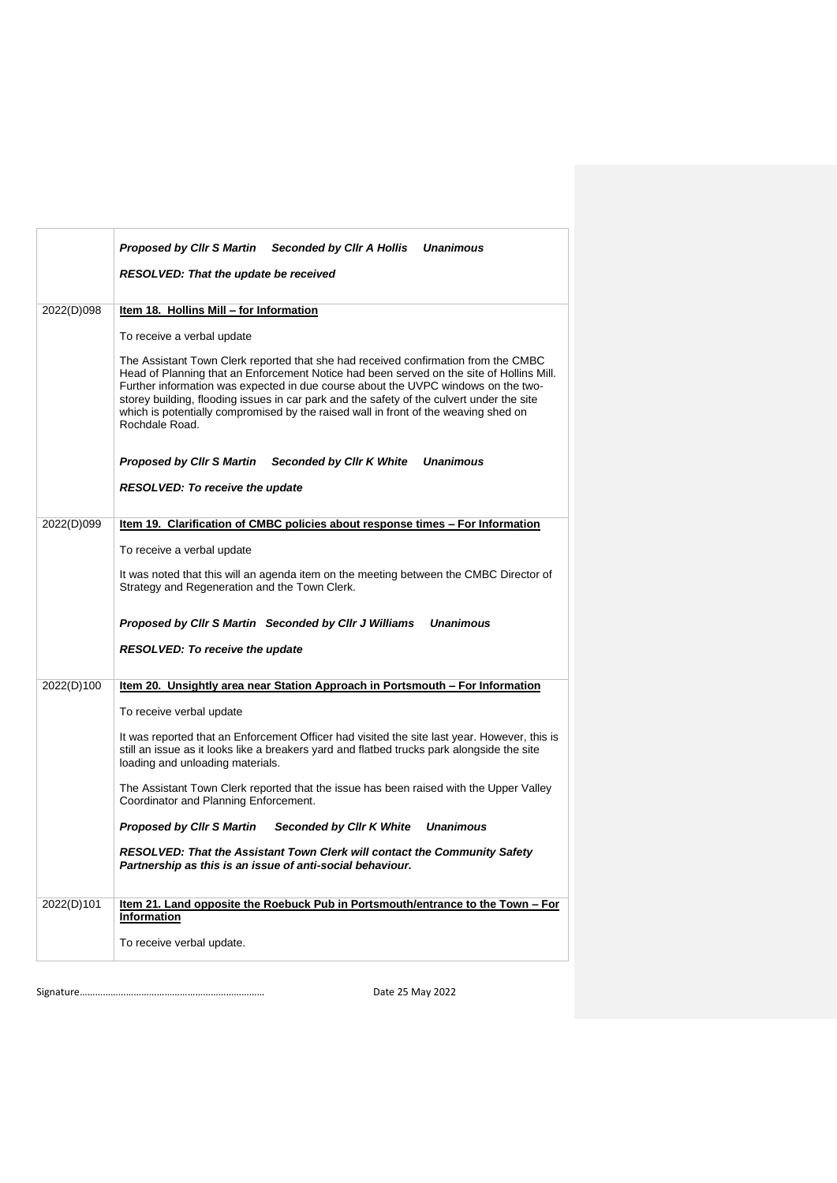|            | Proposed by Clir S Martin Seconded by Clir A Hollis<br><b>Unanimous</b><br><b>RESOLVED: That the update be received</b>                                                                                                                                                                                                                                                                                                                                                                                                                                                                                                                                                                                             |
|------------|---------------------------------------------------------------------------------------------------------------------------------------------------------------------------------------------------------------------------------------------------------------------------------------------------------------------------------------------------------------------------------------------------------------------------------------------------------------------------------------------------------------------------------------------------------------------------------------------------------------------------------------------------------------------------------------------------------------------|
| 2022(D)098 | Item 18. Hollins Mill - for Information<br>To receive a verbal update<br>The Assistant Town Clerk reported that she had received confirmation from the CMBC<br>Head of Planning that an Enforcement Notice had been served on the site of Hollins Mill.<br>Further information was expected in due course about the UVPC windows on the two-<br>storey building, flooding issues in car park and the safety of the culvert under the site<br>which is potentially compromised by the raised wall in front of the weaving shed on<br>Rochdale Road.                                                                                                                                                                  |
|            | <b>Unanimous</b><br>Proposed by Cllr S Martin<br>Seconded by Cllr K White<br><b>RESOLVED: To receive the update</b>                                                                                                                                                                                                                                                                                                                                                                                                                                                                                                                                                                                                 |
| 2022(D)099 | Item 19. Clarification of CMBC policies about response times - For Information<br>To receive a verbal update<br>It was noted that this will an agenda item on the meeting between the CMBC Director of<br>Strategy and Regeneration and the Town Clerk.<br><b>Unanimous</b><br>Proposed by Cllr S Martin Seconded by Cllr J Williams<br><b>RESOLVED: To receive the update</b>                                                                                                                                                                                                                                                                                                                                      |
| 2022(D)100 | Item 20. Unsightly area near Station Approach in Portsmouth - For Information<br>To receive verbal update<br>It was reported that an Enforcement Officer had visited the site last year. However, this is<br>still an issue as it looks like a breakers yard and flatbed trucks park alongside the site<br>loading and unloading materials.<br>The Assistant Town Clerk reported that the issue has been raised with the Upper Valley<br>Coordinator and Planning Enforcement.<br><b>Proposed by CIIr S Martin</b><br><b>Seconded by Cllr K White</b><br><b>Unanimous</b><br>RESOLVED: That the Assistant Town Clerk will contact the Community Safety<br>Partnership as this is an issue of anti-social behaviour. |
| 2022(D)101 | <u>Item 21. Land opposite the Roebuck Pub in Portsmouth/entrance to the Town - For</u><br>Information<br>To receive verbal update.                                                                                                                                                                                                                                                                                                                                                                                                                                                                                                                                                                                  |